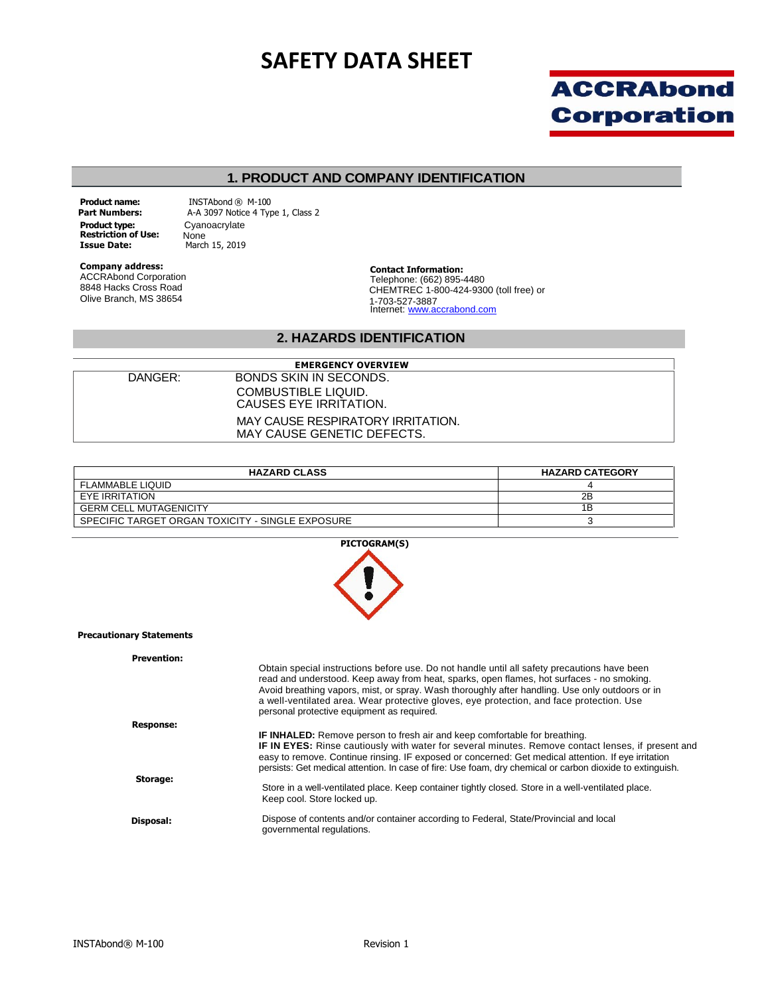# **SAFETY DATA SHEET**



#### **1. PRODUCT AND COMPANY IDENTIFICATION**

**Product name: Part Numbers: Product type: Restriction of Use: Issue Date:** 

INSTAbond ® M-100 A-A 3097 Notice 4 Type 1, Class 2 Cyanoacrylate None March 15, 2019

**Company address:** ACCRAbond Corporation 8848 Hacks Cross Road Olive Branch, MS 38654

**Contact Information:** Telephone: (662) 895-4480 CHEMTREC 1-800-424-9300 (toll free) or 1-703-527-3887<br>Internet: <u>www.accrabond.com</u>

#### **2. HAZARDS IDENTIFICATION**

| <b>EMERGENCY OVERVIEW</b> |                                   |  |
|---------------------------|-----------------------------------|--|
| DANGER:                   | BONDS SKIN IN SECONDS.            |  |
|                           | COMBUSTIBLE LIQUID.               |  |
|                           | CAUSES EYE IRRITATION.            |  |
|                           | MAY CAUSE RESPIRATORY IRRITATION. |  |
|                           | MAY CAUSE GENETIC DEFECTS.        |  |

| <b>HAZARD CLASS</b>                              | <b>HAZARD CATEGORY</b> |
|--------------------------------------------------|------------------------|
| <b>FLAMMABLE LIQUID</b>                          |                        |
| EYE IRRITATION                                   | 2B                     |
| <b>GERM CELL MUTAGENICITY</b>                    | 1Β                     |
| SPECIFIC TARGET ORGAN TOXICITY - SINGLE EXPOSURE |                        |



#### **Precautionary Statements**

| <b>Prevention:</b> | Obtain special instructions before use. Do not handle until all safety precautions have been<br>read and understood. Keep away from heat, sparks, open flames, hot surfaces - no smoking.<br>Avoid breathing vapors, mist, or spray. Wash thoroughly after handling. Use only outdoors or in<br>a well-ventilated area. Wear protective gloves, eye protection, and face protection. Use<br>personal protective equipment as required. |
|--------------------|----------------------------------------------------------------------------------------------------------------------------------------------------------------------------------------------------------------------------------------------------------------------------------------------------------------------------------------------------------------------------------------------------------------------------------------|
| <b>Response:</b>   |                                                                                                                                                                                                                                                                                                                                                                                                                                        |
|                    | <b>IF INHALED:</b> Remove person to fresh air and keep comfortable for breathing.<br>IF IN EYES: Rinse cautiously with water for several minutes. Remove contact lenses, if present and<br>easy to remove. Continue rinsing. IF exposed or concerned: Get medical attention. If eye irritation<br>persists: Get medical attention. In case of fire: Use foam, dry chemical or carbon dioxide to extinguish.                            |
| Storage:           | Store in a well-ventilated place. Keep container tightly closed. Store in a well-ventilated place.<br>Keep cool. Store locked up.                                                                                                                                                                                                                                                                                                      |
| Disposal:          | Dispose of contents and/or container according to Federal, State/Provincial and local<br>governmental regulations.                                                                                                                                                                                                                                                                                                                     |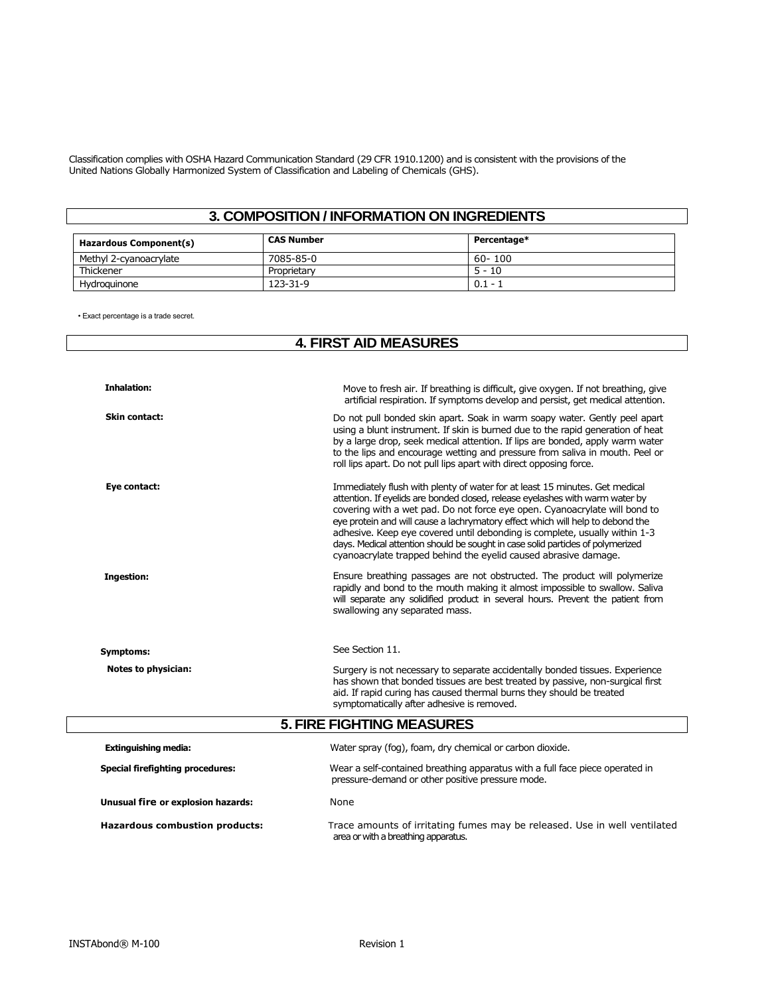Classification complies with OSHA Hazard Communication Standard (29 CFR 1910.1200) and is consistent with the provisions of the United Nations Globally Harmonized System of Classification and Labeling of Chemicals (GHS).

# **3. COMPOSITION / INFORMATION ON INGREDIENTS**

| Hazardous Component(s) | <b>CAS Number</b> | Percentage* |
|------------------------|-------------------|-------------|
| Methyl 2-cvanoacrylate | 7085-85-0         | 60-100      |
| Thickener              | Proprietary       | $5 - 10$    |
| Hydroauinone           | 123-31-9          | $0.1 -$     |

• Exact percentage is a trade secret.

## **4. FIRST AID MEASURES**

| <b>Inhalation:</b>                      | Move to fresh air. If breathing is difficult, give oxygen. If not breathing, give<br>artificial respiration. If symptoms develop and persist, get medical attention.                                                                                                                                                                                                                                                                                                                                                                                             |
|-----------------------------------------|------------------------------------------------------------------------------------------------------------------------------------------------------------------------------------------------------------------------------------------------------------------------------------------------------------------------------------------------------------------------------------------------------------------------------------------------------------------------------------------------------------------------------------------------------------------|
| Skin contact:                           | Do not pull bonded skin apart. Soak in warm soapy water. Gently peel apart<br>using a blunt instrument. If skin is burned due to the rapid generation of heat<br>by a large drop, seek medical attention. If lips are bonded, apply warm water<br>to the lips and encourage wetting and pressure from saliva in mouth. Peel or<br>roll lips apart. Do not pull lips apart with direct opposing force.                                                                                                                                                            |
| Eye contact:                            | Immediately flush with plenty of water for at least 15 minutes. Get medical<br>attention. If eyelids are bonded closed, release eyelashes with warm water by<br>covering with a wet pad. Do not force eye open. Cyanoacrylate will bond to<br>eye protein and will cause a lachrymatory effect which will help to debond the<br>adhesive. Keep eye covered until debonding is complete, usually within 1-3<br>days. Medical attention should be sought in case solid particles of polymerized<br>cyanoacrylate trapped behind the eyelid caused abrasive damage. |
| <b>Ingestion:</b>                       | Ensure breathing passages are not obstructed. The product will polymerize<br>rapidly and bond to the mouth making it almost impossible to swallow. Saliva<br>will separate any solidified product in several hours. Prevent the patient from<br>swallowing any separated mass.                                                                                                                                                                                                                                                                                   |
| <b>Symptoms:</b>                        | See Section 11.                                                                                                                                                                                                                                                                                                                                                                                                                                                                                                                                                  |
| Notes to physician:                     | Surgery is not necessary to separate accidentally bonded tissues. Experience<br>has shown that bonded tissues are best treated by passive, non-surgical first<br>aid. If rapid curing has caused thermal burns they should be treated<br>symptomatically after adhesive is removed.                                                                                                                                                                                                                                                                              |
|                                         | <b>5. FIRE FIGHTING MEASURES</b>                                                                                                                                                                                                                                                                                                                                                                                                                                                                                                                                 |
| <b>Extinguishing media:</b>             | Water spray (fog), foam, dry chemical or carbon dioxide.                                                                                                                                                                                                                                                                                                                                                                                                                                                                                                         |
| <b>Special firefighting procedures:</b> | Wear a self-contained breathing apparatus with a full face piece operated in<br>pressure-demand or other positive pressure mode.                                                                                                                                                                                                                                                                                                                                                                                                                                 |
| Unusual fire or explosion hazards:      | None                                                                                                                                                                                                                                                                                                                                                                                                                                                                                                                                                             |
| <b>Hazardous combustion products:</b>   | Trace amounts of irritating fumes may be released. Use in well ventilated<br>area or with a breathing apparatus.                                                                                                                                                                                                                                                                                                                                                                                                                                                 |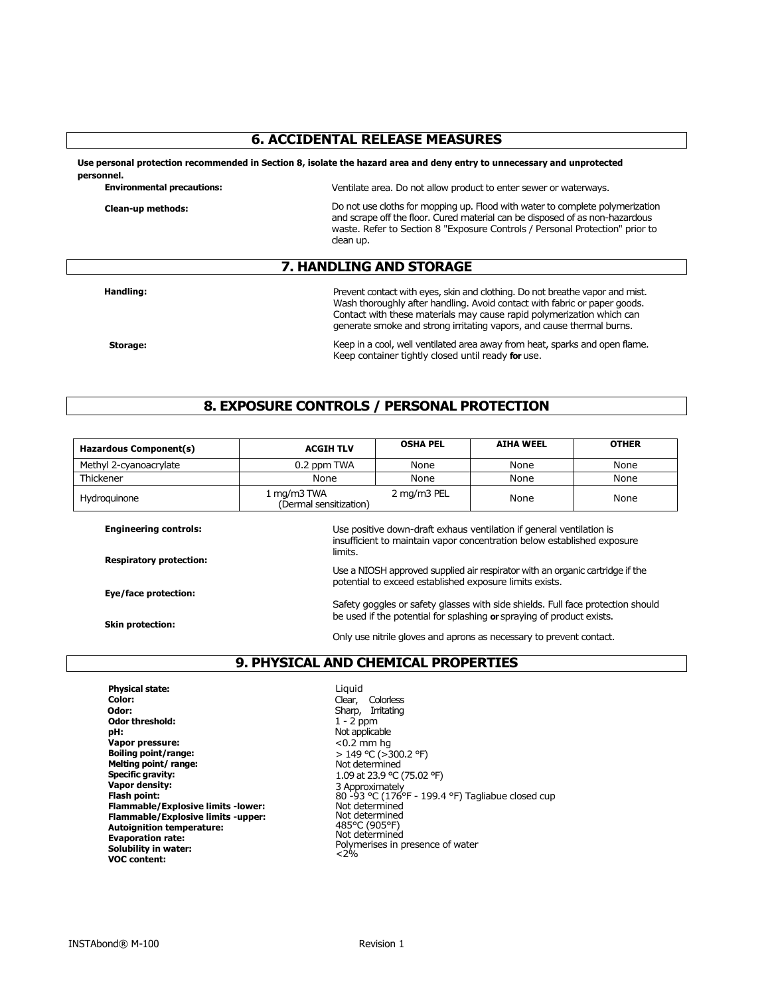## **6. ACCIDENTAL RELEASE MEASURES**

**Use personal protection recommended in Section 8, isolate the hazard area and deny entry to unnecessary and unprotected personnel.** 

| <b>Environmental precautions:</b> | Ventilate area. Do not allow product to enter sewer or waterways.                                                                                                                                                                                          |
|-----------------------------------|------------------------------------------------------------------------------------------------------------------------------------------------------------------------------------------------------------------------------------------------------------|
| Clean-up methods:                 | Do not use cloths for mopping up. Flood with water to complete polymerization<br>and scrape off the floor. Cured material can be disposed of as non-hazardous<br>waste. Refer to Section 8 "Exposure Controls / Personal Protection" prior to<br>clean up. |
|                                   |                                                                                                                                                                                                                                                            |

#### **7. HANDLING AND STORAGE**

**Handling:**

Prevent contact with eyes, skin and clothing. Do not breathe vapor and mist. Wash thoroughly after handling. Avoid contact with fabric or paper goods. Contact with these materials may cause rapid polymerization which can generate smoke and strong irritating vapors, and cause thermal burns.

**Storage:**

Keep in a cool, well ventilated area away from heat, sparks and open flame. Keep container tightly closed until ready **for** use.

## **8. EXPOSURE CONTROLS / PERSONAL PROTECTION**

| Hazardous Component(s) | <b>ACGIH TLV</b>                      | <b>OSHA PEL</b> | <b>AIHA WEEL</b> | <b>OTHER</b> |
|------------------------|---------------------------------------|-----------------|------------------|--------------|
| Methyl 2-cyanoacrylate | 0.2 ppm TWA                           | None            | None             | None         |
| Thickener              | None                                  | None            | None             | None         |
| Hydroguinone           | 1 mg/m3 TWA<br>(Dermal sensitization) | 2 mg/m3 PEL     | None             | None         |

**Engineering controls:**

**Respiratory protection:**

**Eye/face protection:**

**Skin protection:**

Use positive down-draft exhaus ventilation if general ventilation is insufficient to maintain vapor concentration below established exposure limits.

Use a NIOSH approved supplied air respirator with an organic cartridge if the potential to exceed established exposure limits exists.

Safety goggles or safety glasses with side shields. Full face protection should be used if the potential for splashing **or** spraying of product exists.

Only use nitrile gloves and aprons as necessary to prevent contact.

## **9. PHYSICAL AND CHEMICAL PROPERTIES**

**Physical state: Color: Odor: Odor threshold: pH: Vapor pressure: Boiling point/range: Melting point/ range: Specific gravity: Vapor density: Flash point: Flammable/Explosive limits -lower: Flammable/Explosive limits -upper: Autoignition temperature: Evaporation rate: Solubility in water: VOC content:**

Liquid Clear, Colorless Sharp, Irritating 1 - 2 ppm Not applicable  $< 0.2$  mm hg > 149 °C (>300.2 °F) Not determined 1.09 at 23.9 °C (75.02 °F) 3 Approximately 80 -93 °C (176°F - 199.4 °F) Tagliabue closed cup Not determined Not determined 485°C (905°F) Not determined Polymerises in presence of water  $< 2<sup>6</sup> / 6$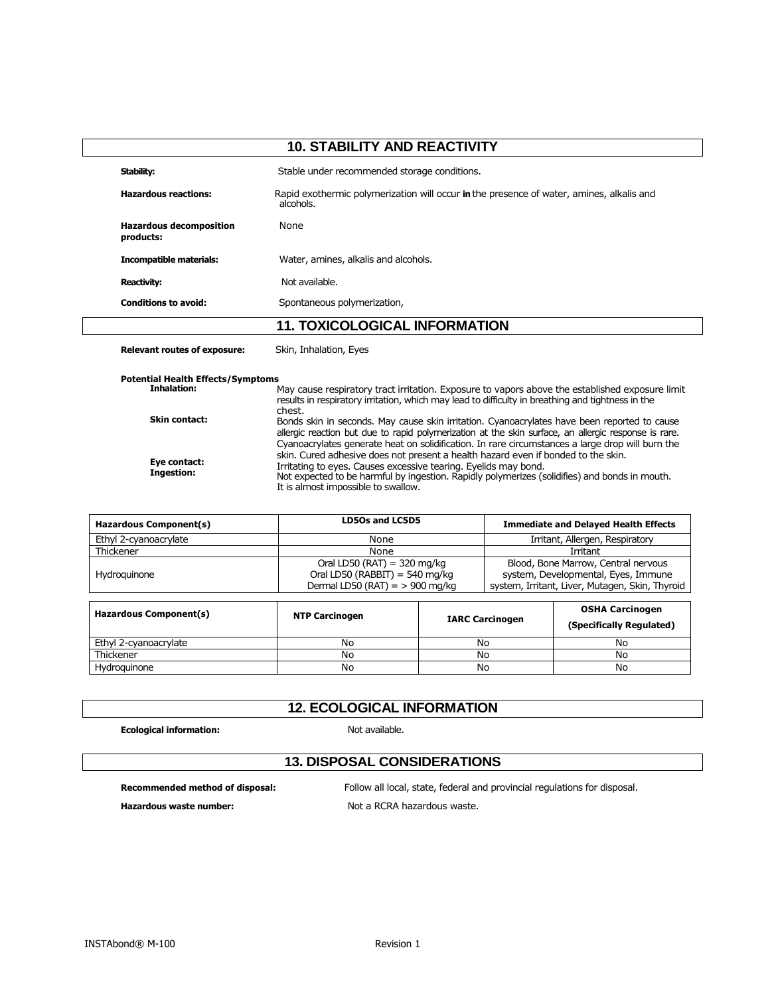| <b>10. STABILITY AND REACTIVITY</b>         |                                                                                                       |
|---------------------------------------------|-------------------------------------------------------------------------------------------------------|
| Stability:                                  | Stable under recommended storage conditions.                                                          |
| <b>Hazardous reactions:</b>                 | Rapid exothermic polymerization will occur in the presence of water, amines, alkalis and<br>alcohols. |
| <b>Hazardous decomposition</b><br>products: | None                                                                                                  |
| <b>Incompatible materials:</b>              | Water, amines, alkalis and alcohols.                                                                  |
| Reactivity:                                 | Not available.                                                                                        |
| <b>Conditions to avoid:</b>                 | Spontaneous polymerization,                                                                           |
|                                             | <b>11. TOXICOLOGICAL INFORMATION</b>                                                                  |

**Relevant routes of exposure:** Skin, Inhalation, Eyes

**Potential Health Effects/Symptoms Inhalation: Skin contact: Eye contact: Ingestion:** May cause respiratory tract irritation. Exposure to vapors above the established exposure limit results in respiratory irritation, which may lead to difficulty in breathing and tightness in the chest. Bonds skin in seconds. May cause skin irritation. Cyanoacrylates have been reported to cause allergic reaction but due to rapid polymerization at the skin surface, an allergic response is rare. Cyanoacrylates generate heat on solidification. In rare circumstances a large drop will burn the skin. Cured adhesive does not present a health hazard even if bonded to the skin. Irritating to eyes. Causes excessive tearing. Eyelids may bond. Not expected to be harmful by ingestion. Rapidly polymerizes (solidifies) and bonds in mouth. It is almost impossible to swallow.

| LD50s and LC5D5                                                                                              | <b>Immediate and Delayed Health Effects</b>                                                                                   |
|--------------------------------------------------------------------------------------------------------------|-------------------------------------------------------------------------------------------------------------------------------|
| None                                                                                                         | Irritant, Allergen, Respiratory                                                                                               |
| None                                                                                                         | Irritant                                                                                                                      |
| Oral LD50 (RAT) = $320 \text{ mg/kg}$<br>Oral LD50 (RABBIT) = 540 mg/kg<br>Dermal LD50 (RAT) = $>$ 900 mg/kg | Blood, Bone Marrow, Central nervous<br>system, Developmental, Eyes, Immune<br>system, Irritant, Liver, Mutagen, Skin, Thyroid |
|                                                                                                              | OCUA Capaluagan                                                                                                               |
|                                                                                                              |                                                                                                                               |

| Hazardous Component(s) | <b>NTP Carcinogen</b> | <b>IARC Carcinogen</b> | <b>OSHA Carcinogen</b><br>(Specifically Regulated) |
|------------------------|-----------------------|------------------------|----------------------------------------------------|
| Ethyl 2-cyanoacrylate  | No                    | No                     | No                                                 |
| Thickener              | No                    | No                     | No                                                 |
| Hydroauinone           | No                    | No                     | No                                                 |

## **12. ECOLOGICAL INFORMATION**

**Ecological information: Not available. Not available.** 

# **13. DISPOSAL CONSIDERATIONS**

**Recommended method of disposal:** Follow all local, state, federal and provincial regulations for disposal. Hazardous waste number: **Notify Allen and School and Allen and Allen and Mot a RCRA** hazardous waste.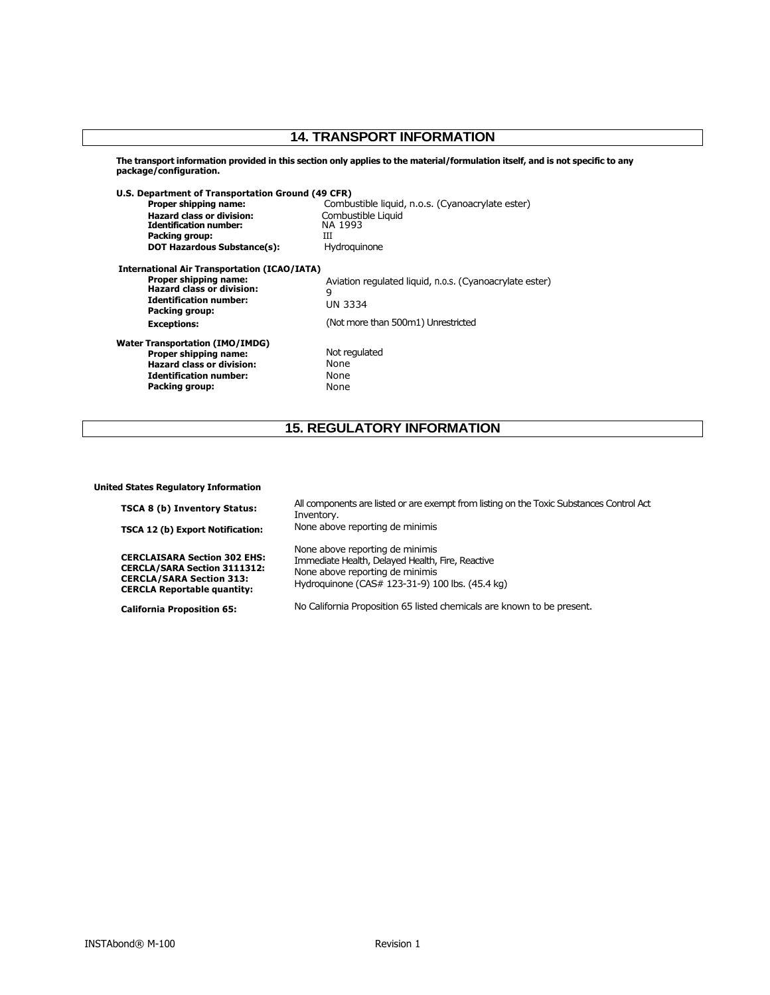# **14. TRANSPORT INFORMATION**

**The transport information provided in this section only applies to the material/formulation itself, and is not specific to any package/configuration.** 

| U.S. Department of Transportation Ground (49 CFR)       |
|---------------------------------------------------------|
| Combustible liquid, n.o.s. (Cyanoacrylate ester)        |
| Combustible Liquid                                      |
| NA 1993                                                 |
| Ш                                                       |
| Hydroguinone                                            |
| <b>International Air Transportation (ICAO/IATA)</b>     |
| Aviation regulated liquid, n.o.s. (Cyanoacrylate ester) |
| 9                                                       |
| UN 3334                                                 |
|                                                         |
| (Not more than 500m1) Unrestricted                      |
|                                                         |
| Not regulated                                           |
| None                                                    |
| None                                                    |
| None                                                    |
|                                                         |

# **15. REGULATORY INFORMATION**

**United States Regulatory Information** 

| <b>TSCA 8 (b) Inventory Status:</b>                                                                                                                 | All components are listed or are exempt from listing on the Toxic Substances Control Act<br>Inventory.                                                                    |
|-----------------------------------------------------------------------------------------------------------------------------------------------------|---------------------------------------------------------------------------------------------------------------------------------------------------------------------------|
| TSCA 12 (b) Export Notification:                                                                                                                    | None above reporting de minimis                                                                                                                                           |
| <b>CERCLAISARA Section 302 EHS:</b><br><b>CERCLA/SARA Section 3111312:</b><br><b>CERCLA/SARA Section 313:</b><br><b>CERCLA Reportable quantity:</b> | None above reporting de minimis<br>Immediate Health, Delayed Health, Fire, Reactive<br>None above reporting de minimis<br>Hydroguinone (CAS# 123-31-9) 100 lbs. (45.4 kg) |
| <b>California Proposition 65:</b>                                                                                                                   | No California Proposition 65 listed chemicals are known to be present.                                                                                                    |